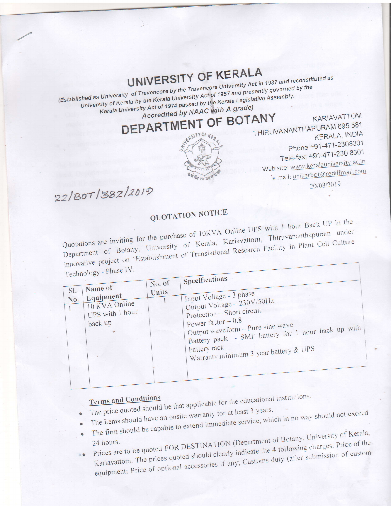## UNIVERSITY OF KERALA

(Established as University of Travencore by the Travencore University Act in 1937 and reconstituted as University of Kerala by the Kerala University Act of 1957 and presently governed by the Kerala University Act of 1974 passed by the Kerala Legislative Assembly. Accredited by NAAC with A grade)

DEPARTMENT OF BOTANY



KARIAVATTOM THIRUVANANTHAPURAM 695 581 **KERALA, INDIA** Phone +91-471-2308301 Tele-fax: +91-471-230 8301 Web site: www.keralauniversity.ac.in e mail: unikerbot@rediffmail.com 20/08/2019

 $22/30T/382/2019$ 

## QUOTATION NOTICE

Quotations are inviting for the purchase of 10KVA Online UPS with 1 hour Back UP in the Department of Botany, University of Kerala, Kariavattom, Thiruvananthapuram under innovative project on 'Establishment of Translational Research Facility in Plant Cell Culture

Technology - Phase IV.

| $\sqrt{2}$<br>SI.<br>No. | Name of<br>Equipment<br>10 KVA Online<br>UPS with 1 hour<br>back up | No. of<br>Units | Specifications<br>Input Voltage - 3 phase<br>Output Voltage - 230V/50Hz<br>Protection - Short circuit<br>Power factor $-0.8$<br>Output waveform - Pure sine wave<br>Battery pack - SMI battery for 1 hour back up with<br>battery rack<br>Warranty minimum 3 year battery & UPS |
|--------------------------|---------------------------------------------------------------------|-----------------|---------------------------------------------------------------------------------------------------------------------------------------------------------------------------------------------------------------------------------------------------------------------------------|
|                          |                                                                     |                 |                                                                                                                                                                                                                                                                                 |

- The price quoted should be that applicable for the educational institutions. The items should have an onsite warranty for at least 3 years.
- 
- The firm should be capable to extend immediate service, which in no way should not exceed Prices are to be quoted FOR DESTINATION (Department of Botany, University of Kerala,
- Kariavattom. The prices quoted should clearly indicate the 4 following charges: Price of the equipment; Price of optional accessories if any; Customs duty (after submission of custom  $\mathbf{z}$ .